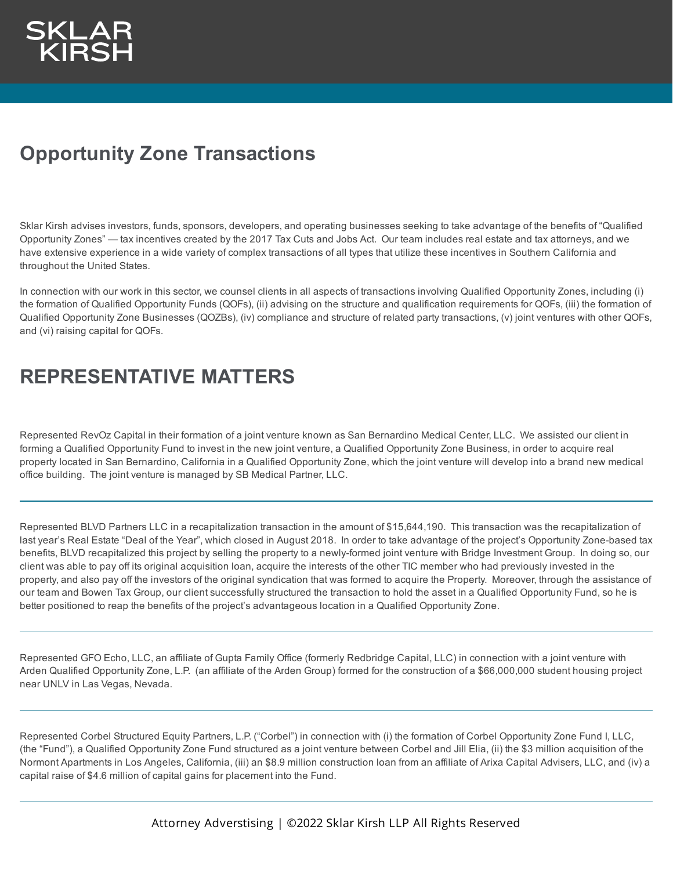## **Opportunity Zone Transactions**

Sklar Kirsh advises investors, funds, sponsors, developers, and operating businesses seeking to take advantage of the benefits of "Qualified Opportunity Zones" — tax incentives created by the 2017 Tax Cuts and Jobs Act. Our team includes real estate and tax attorneys, and we have extensive experience in a wide variety of complex transactions of all types that utilize these incentives in Southern California and throughout the United States.

In connection with our work in this sector, we counsel clients in all aspects of transactions involving Qualified Opportunity Zones, including (i) the formation of Qualified Opportunity Funds (QOFs), (ii) advising on the structure and qualification requirements for QOFs, (iii) the formation of Qualified Opportunity Zone Businesses (QOZBs), (iv) compliance and structure of related party transactions, (v) joint ventures with other QOFs, and (vi) raising capital for QOFs.

## **REPRESENTATIVE MATTERS**

Represented RevOz Capital in their formation of a joint venture known as San Bernardino Medical Center, LLC. We assisted our client in forming a Qualified Opportunity Fund to invest in the new joint venture, a Qualified Opportunity Zone Business, in order to acquire real property located in San Bernardino, California in a Qualified Opportunity Zone, which the joint venture will develop into a brand new medical office building. The joint venture is managed by SB Medical Partner, LLC.

Represented BLVD Partners LLC in a recapitalization transaction in the amount of \$15,644,190. This transaction was the recapitalization of last year's Real Estate "Deal of the Year", which closed in August 2018. In order to take advantage of the project's Opportunity Zone-based tax benefits, BLVD recapitalized this project by selling the property to a newly-formed joint venture with Bridge Investment Group. In doing so, our client was able to pay off its original acquisition loan, acquire the interests of the other TIC member who had previously invested in the property, and also pay off the investors of the original syndication that was formed to acquire the Property. Moreover, through the assistance of our team and Bowen Tax Group, our client successfully structured the transaction to hold the asset in a Qualified Opportunity Fund, so he is better positioned to reap the benefits of the project's advantageous location in a Qualified Opportunity Zone.

Represented GFO Echo, LLC, an affiliate of Gupta Family Office (formerly Redbridge Capital, LLC) in connection with a joint venture with Arden Qualified Opportunity Zone, L.P. (an affiliate of the Arden Group) formed for the construction of a \$66,000,000 student housing project near UNLV in Las Vegas, Nevada.

Represented Corbel Structured Equity Partners, L.P. ("Corbel") in connection with (i) the formation of Corbel Opportunity Zone Fund I, LLC, (the "Fund"), a Qualified Opportunity Zone Fund structured as a joint venture between Corbel and Jill Elia, (ii) the \$3 million acquisition of the Normont Apartments in Los Angeles, California, (iii) an \$8.9 million construction loan from an affiliate of Arixa Capital Advisers, LLC, and (iv) a capital raise of \$4.6 million of capital gains for placement into the Fund.